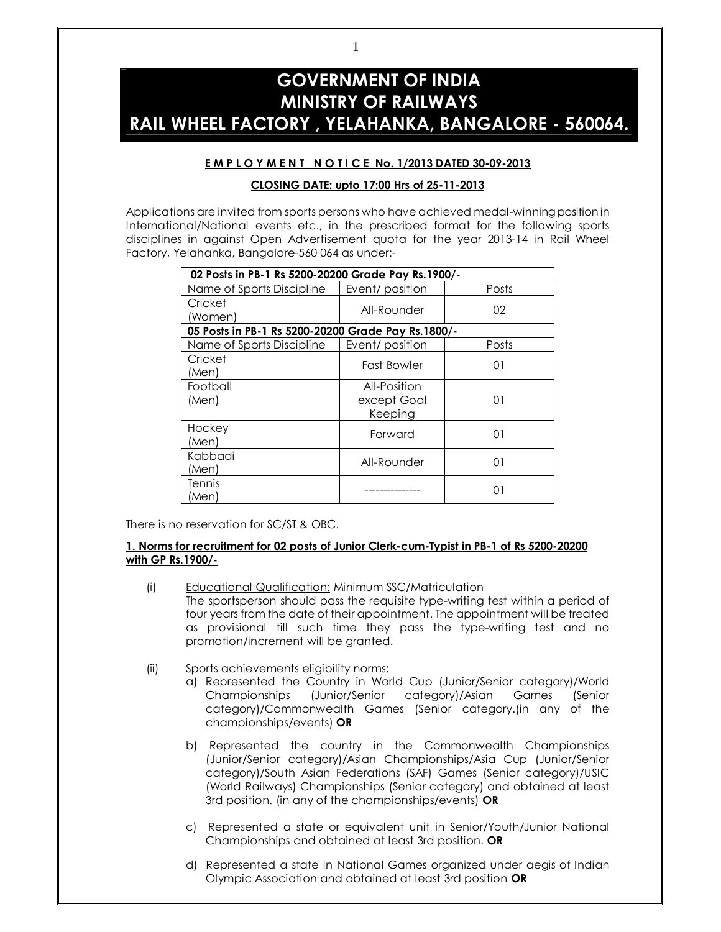# **GOVERNMENT OF INDIA MINISTRY OF RAILWAYS RAIL WHEEL FACTORY , YELAHANKA, BANGALORE - 560064.**

# **E M P L O Y M E N T N O T I C E No. 1/2013 DATED 30-09-2013**

# **CLOSING DATE: upto 17:00 Hrs of 25-11-2013**

Applications are invited from sports persons who have achieved medal-winning position in International/National events etc., in the prescribed format for the following sports disciplines in against Open Advertisement quota for the year 2013-14 in Rail Wheel Factory, Yelahanka, Bangalore-560 064 as under:-

| 02 Posts in PB-1 Rs 5200-20200 Grade Pay Rs. 1900/- |                                        |       |  |
|-----------------------------------------------------|----------------------------------------|-------|--|
| Name of Sports Discipline                           | Event/position                         | Posts |  |
| Cricket<br>(Women)                                  | All-Rounder                            | 02    |  |
| 05 Posts in PB-1 Rs 5200-20200 Grade Pay Rs.1800/-  |                                        |       |  |
| Name of Sports Discipline                           | Event/position                         | Posts |  |
| Cricket<br>(Men)                                    | Fast Bowler                            | 01    |  |
| Football<br>(Men)                                   | All-Position<br>except Goal<br>Keeping | 01    |  |
| Hockey<br>(Men)                                     | Forward                                | 01    |  |
| Kabbadi<br>(Men)                                    | All-Rounder                            | 01    |  |
| Tennis<br>(Men)                                     |                                        | 01    |  |

There is no reservation for SC/ST & OBC.

# **1. Norms for recruitment for 02 posts of Junior Clerk-cum-Typist in PB-1 of Rs 5200-20200 with GP Rs.1900/-**

- (i) Educational Qualification: Minimum SSC/Matriculation The sportsperson should pass the requisite type-writing test within a period of four years from the date of their appointment. The appointment will be treated as provisional till such time they pass the type-writing test and no promotion/increment will be granted.
- (ii) Sports achievements eligibility norms:
	- a) Represented the Country in World Cup (Junior/Senior category)/World Championships (Junior/Senior category)/Asian Games (Senior category)/Commonwealth Games (Senior category.(in any of the championships/events) **OR**
	- b) Represented the country in the Commonwealth Championships (Junior/Senior category)/Asian Championships/Asia Cup (Junior/Senior category)/South Asian Federations (SAF) Games (Senior category)/USIC (World Railways) Championships (Senior category) and obtained at least 3rd position. (in any of the championships/events) **OR**
	- c) Represented a state or equivalent unit in Senior/Youth/Junior National Championships and obtained at least 3rd position. **OR**
	- d) Represented a state in National Games organized under aegis of Indian Olympic Association and obtained at least 3rd position **OR**

1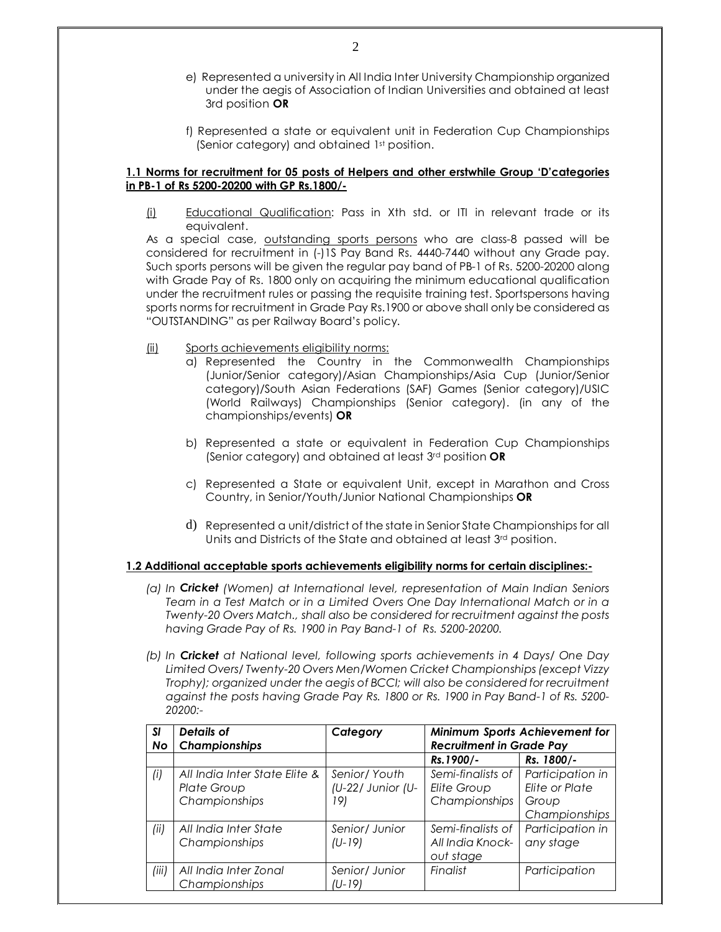- e) Represented a university in All India Inter University Championship organized under the aegis of Association of Indian Universities and obtained at least 3rd position **OR**
- f) Represented a state or equivalent unit in Federation Cup Championships (Senior category) and obtained 1st position.

# **1.1 Norms for recruitment for 05 posts of Helpers and other erstwhile Group 'D'categories in PB-1 of Rs 5200-20200 with GP Rs.1800/-**

(i) Educational Qualification: Pass in Xth std. or ITI in relevant trade or its equivalent.

As a special case, outstanding sports persons who are class-8 passed will be considered for recruitment in (-)1S Pay Band Rs. 4440-7440 without any Grade pay. Such sports persons will be given the regular pay band of PB-1 of Rs. 5200-20200 along with Grade Pay of Rs. 1800 only on acquiring the minimum educational qualification under the recruitment rules or passing the requisite training test. Sportspersons having sports norms for recruitment in Grade Pay Rs.1900 or above shall only be considered as "OUTSTANDING" as per Railway Board's policy.

- (ii) Sports achievements eligibility norms:
	- a) Represented the Country in the Commonwealth Championships (Junior/Senior category)/Asian Championships/Asia Cup (Junior/Senior category)/South Asian Federations (SAF) Games (Senior category)/USIC (World Railways) Championships (Senior category). (in any of the championships/events) **OR**
	- b) Represented a state or equivalent in Federation Cup Championships (Senior category) and obtained at least 3rd position **OR**
	- c) Represented a State or equivalent Unit, except in Marathon and Cross Country, in Senior/Youth/Junior National Championships **OR**
	- d) Represented a unit/district of the state in Senior State Championships for all Units and Districts of the State and obtained at least 3rd position.

#### **1.2 Additional acceptable sports achievements eligibility norms for certain disciplines:-**

- *(a) In Cricket (Women) at International level, representation of Main Indian Seniors Team in a Test Match or in a Limited Overs One Day International Match or in a Twenty-20 Overs Match., shall also be considered for recruitment against the posts having Grade Pay of Rs. 1900 in Pay Band-1 of Rs. 5200-20200.*
- *(b) In Cricket at National level, following sports achievements in 4 Days/ One Day Limited Overs/ Twenty-20 Overs Men/Women Cricket Championships (except Vizzy Trophy); organized under the aegis of BCCI; will also be considered for recruitment against the posts having Grade Pay Rs. 1800 or Rs. 1900 in Pay Band-1 of Rs. 5200- 20200:-*

| <b>SI</b> | Details of                    | Category          |                                 | Minimum Sports Achievement for |
|-----------|-------------------------------|-------------------|---------------------------------|--------------------------------|
| No        | Championships                 |                   | <b>Recruitment in Grade Pay</b> |                                |
|           |                               |                   | Rs. 1900/-                      | Rs. 1800/-                     |
| (i)       | All India Inter State Elite & | Senior/ Youth     | Semi-finalists of               | Participation in               |
|           | <b>Plate Group</b>            | (U-22/ Junior (U- | Elite Group                     | <b>Elite or Plate</b>          |
|           | Championships                 | 191               | Championships                   | Group                          |
|           |                               |                   |                                 | Championships                  |
| (ii)      | All India Inter State         | Senior/ Junior    | Semi-finalists of               | Participation in               |
|           | Championships                 | $(U-19)$          | All India Knock-                | any stage                      |
|           |                               |                   | out stage                       |                                |
| (iii)     | All India Inter Zonal         | Senior/ Junior    | Finalist                        | Participation                  |
|           | Championships                 | (U-19)            |                                 |                                |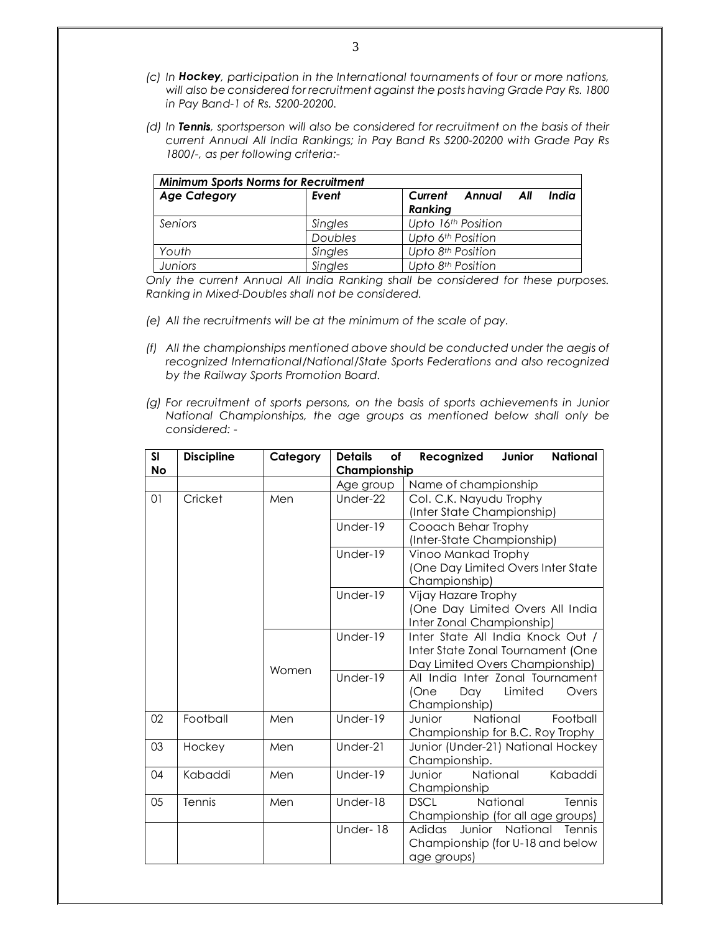- *(c) In Hockey, participation in the International tournaments of four or more nations, will also be considered for recruitment against the posts having Grade Pay Rs. 1800 in Pay Band-1 of Rs. 5200-20200.*
- *(d) In Tennis, sportsperson will also be considered for recruitment on the basis of their current Annual All India Rankings; in Pay Band Rs 5200-20200 with Grade Pay Rs 1800/-, as per following criteria:-*

| <b>Minimum Sports Norms for Recruitment</b> |         |                                              |  |
|---------------------------------------------|---------|----------------------------------------------|--|
| <b>Age Category</b>                         | Event   | India<br>Current<br>Annual<br>All<br>Ranking |  |
| Seniors                                     | Singles | Upto 16 <sup>th</sup> Position               |  |
|                                             | Doubles | Upto 6th Position                            |  |
| Youth                                       | Singles | Upto 8 <sup>th</sup> Position                |  |
| <b>Juniors</b>                              | Singles | Upto 8 <sup>th</sup> Position                |  |

*Only the current Annual All India Ranking shall be considered for these purposes. Ranking in Mixed-Doubles shall not be considered.*

- *(e) All the recruitments will be at the minimum of the scale of pay.*
- *(f) All the championships mentioned above should be conducted under the aegis of recognized International/National/State Sports Federations and also recognized by the Railway Sports Promotion Board.*
- *(g) For recruitment of sports persons, on the basis of sports achievements in Junior National Championships, the age groups as mentioned below shall only be considered: -*

| <b>SI</b><br><b>No</b> | <b>Discipline</b> | Category | <b>Details</b><br>of<br>Championship | <b>National</b><br>Recognized<br>Junior          |
|------------------------|-------------------|----------|--------------------------------------|--------------------------------------------------|
|                        |                   |          | Age group                            | Name of championship                             |
| 01                     | Cricket           | Men      | Under-22                             | Col. C.K. Nayudu Trophy                          |
|                        |                   |          |                                      | (Inter State Championship)                       |
|                        |                   |          | Under-19                             | Cooach Behar Trophy                              |
|                        |                   |          |                                      | (Inter-State Championship)                       |
|                        |                   |          | Under-19                             | Vinoo Mankad Trophy                              |
|                        |                   |          |                                      | (One Day Limited Overs Inter State               |
|                        |                   |          |                                      | Championship)                                    |
|                        |                   |          | Under-19                             | Vijay Hazare Trophy                              |
|                        |                   |          |                                      | (One Day Limited Overs All India                 |
|                        |                   |          |                                      | Inter Zonal Championship)                        |
|                        |                   |          | Under-19                             | Inter State All India Knock Out /                |
|                        |                   |          |                                      | Inter State Zonal Tournament (One                |
|                        |                   | Women    | Under- $19$                          | Day Limited Overs Championship)                  |
|                        |                   |          |                                      | All India Inter Zonal Tournament                 |
|                        |                   |          |                                      | (One<br>Limited<br>Day<br>Overs<br>Championship) |
| 02                     | Football          | Men      | Under-19                             | National<br>Football<br>Junior                   |
|                        |                   |          |                                      | Championship for B.C. Roy Trophy                 |
| 03                     | Hockey            | Men      | Under-21                             | Junior (Under-21) National Hockey                |
|                        |                   |          |                                      | Championship.                                    |
| 04                     | Kabaddi           | Men      | Under-19                             | National<br>Junior<br>Kabaddi                    |
|                        |                   |          |                                      | Championship                                     |
| 05                     | Tennis            | Men      | Under-18                             | National<br><b>DSCL</b><br>Tennis                |
|                        |                   |          |                                      | Championship (for all age groups)                |
|                        |                   |          | Under-18                             | Adidas<br>Junior National<br>Tennis              |
|                        |                   |          |                                      | Championship (for U-18 and below                 |
|                        |                   |          |                                      | age groups)                                      |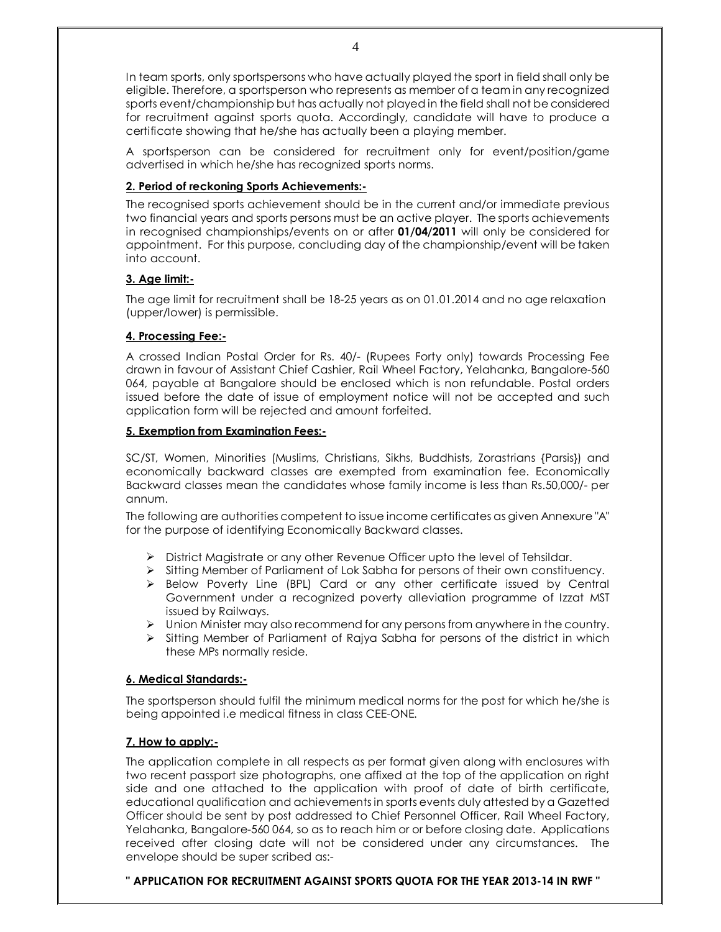In team sports, only sportspersons who have actually played the sport in field shall only be eligible. Therefore, a sportsperson who represents as member of a team in any recognized sports event/championship but has actually not played in the field shall not be considered for recruitment against sports quota. Accordingly, candidate will have to produce a certificate showing that he/she has actually been a playing member.

A sportsperson can be considered for recruitment only for event/position/game advertised in which he/she has recognized sports norms.

# **2. Period of reckoning Sports Achievements:-**

The recognised sports achievement should be in the current and/or immediate previous two financial years and sports persons must be an active player. The sports achievements in recognised championships/events on or after **01/04/2011** will only be considered for appointment. For this purpose, concluding day of the championship/event will be taken into account.

# **3. Age limit:-**

The age limit for recruitment shall be 18-25 years as on 01.01.2014 and no age relaxation (upper/lower) is permissible.

# **4. Processing Fee:-**

A crossed Indian Postal Order for Rs. 40/- (Rupees Forty only) towards Processing Fee drawn in favour of Assistant Chief Cashier, Rail Wheel Factory, Yelahanka, Bangalore-560 064, payable at Bangalore should be enclosed which is non refundable. Postal orders issued before the date of issue of employment notice will not be accepted and such application form will be rejected and amount forfeited.

#### **5. Exemption from Examination Fees:-**

SC/ST, Women, Minorities (Muslims, Christians, Sikhs, Buddhists, Zorastrians {Parsis}) and economically backward classes are exempted from examination fee. Economically Backward classes mean the candidates whose family income is less than Rs.50,000/- per annum.

The following are authorities competent to issue income certificates as given Annexure "A" for the purpose of identifying Economically Backward classes.

- $\triangleright$  District Magistrate or any other Revenue Officer upto the level of Tehsildar.
- > Sitting Member of Parliament of Lok Sabha for persons of their own constituency.
- $\triangleright$  Below Poverty Line (BPL) Card or any other certificate issued by Central Government under a recognized poverty alleviation programme of Izzat MST issued by Railways.
- $\triangleright$  Union Minister may also recommend for any persons from anywhere in the country.
- $\triangleright$  Sitting Member of Parliament of Rajya Sabha for persons of the district in which these MPs normally reside.

#### **6. Medical Standards:-**

The sportsperson should fulfil the minimum medical norms for the post for which he/she is being appointed i.e medical fitness in class CEE-ONE.

#### **7. How to apply:-**

The application complete in all respects as per format given along with enclosures with two recent passport size photographs, one affixed at the top of the application on right side and one attached to the application with proof of date of birth certificate, educational qualification and achievements in sports events duly attested by a Gazetted Officer should be sent by post addressed to Chief Personnel Officer, Rail Wheel Factory, Yelahanka, Bangalore-560 064, so as to reach him or or before closing date. Applications received after closing date will not be considered under any circumstances. The envelope should be super scribed as:-

**" APPLICATION FOR RECRUITMENT AGAINST SPORTS QUOTA FOR THE YEAR 2013-14 IN RWF "**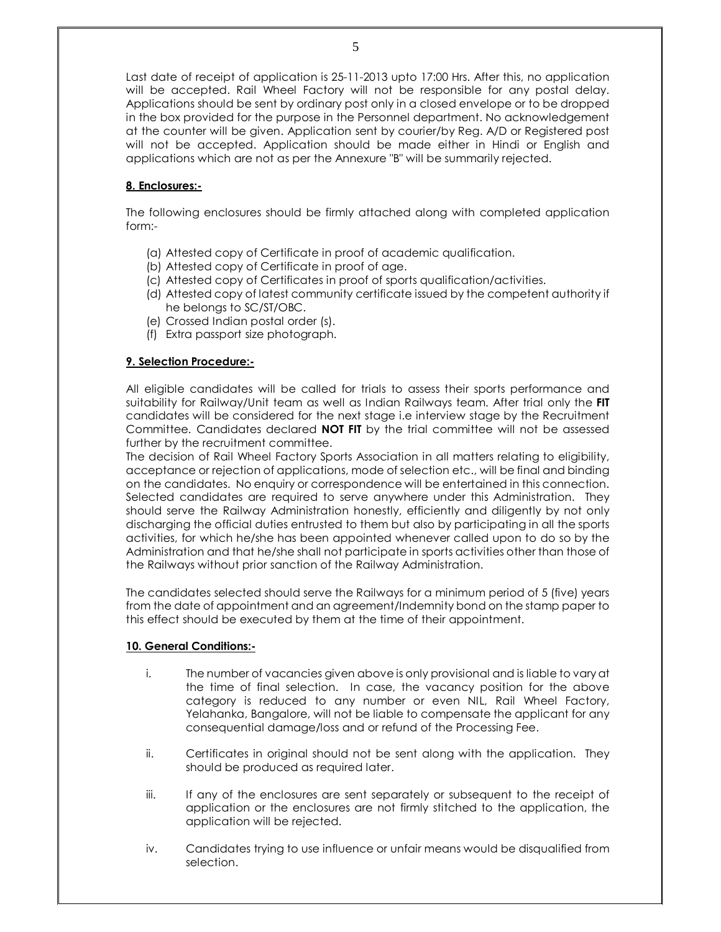Last date of receipt of application is 25-11-2013 upto 17:00 Hrs. After this, no application will be accepted. Rail Wheel Factory will not be responsible for any postal delay. Applications should be sent by ordinary post only in a closed envelope or to be dropped in the box provided for the purpose in the Personnel department. No acknowledgement at the counter will be given. Application sent by courier/by Reg. A/D or Registered post will not be accepted. Application should be made either in Hindi or English and applications which are not as per the Annexure "B" will be summarily rejected.

# **8. Enclosures:-**

The following enclosures should be firmly attached along with completed application form:-

- (a) Attested copy of Certificate in proof of academic qualification.
- (b) Attested copy of Certificate in proof of age.
- (c) Attested copy of Certificates in proof of sports qualification/activities.
- (d) Attested copy of latest community certificate issued by the competent authority if he belongs to SC/ST/OBC.
- (e) Crossed Indian postal order (s).
- (f) Extra passport size photograph.

# **9. Selection Procedure:-**

All eligible candidates will be called for trials to assess their sports performance and suitability for Railway/Unit team as well as Indian Railways team. After trial only the **FIT** candidates will be considered for the next stage i.e interview stage by the Recruitment Committee. Candidates declared **NOT FIT** by the trial committee will not be assessed further by the recruitment committee.

The decision of Rail Wheel Factory Sports Association in all matters relating to eligibility, acceptance or rejection of applications, mode of selection etc., will be final and binding on the candidates. No enquiry or correspondence will be entertained in this connection. Selected candidates are required to serve anywhere under this Administration. They should serve the Railway Administration honestly, efficiently and diligently by not only discharging the official duties entrusted to them but also by participating in all the sports activities, for which he/she has been appointed whenever called upon to do so by the Administration and that he/she shall not participate in sports activities other than those of the Railways without prior sanction of the Railway Administration.

The candidates selected should serve the Railways for a minimum period of 5 (five) years from the date of appointment and an agreement/Indemnity bond on the stamp paper to this effect should be executed by them at the time of their appointment.

#### **10. General Conditions:-**

- i. The number of vacancies given above is only provisional and is liable to vary at the time of final selection. In case, the vacancy position for the above category is reduced to any number or even NIL, Rail Wheel Factory, Yelahanka, Bangalore, will not be liable to compensate the applicant for any consequential damage/loss and or refund of the Processing Fee.
- ii. Certificates in original should not be sent along with the application. They should be produced as required later.
- iii. If any of the enclosures are sent separately or subsequent to the receipt of application or the enclosures are not firmly stitched to the application, the application will be rejected.
- iv. Candidates trying to use influence or unfair means would be disqualified from selection.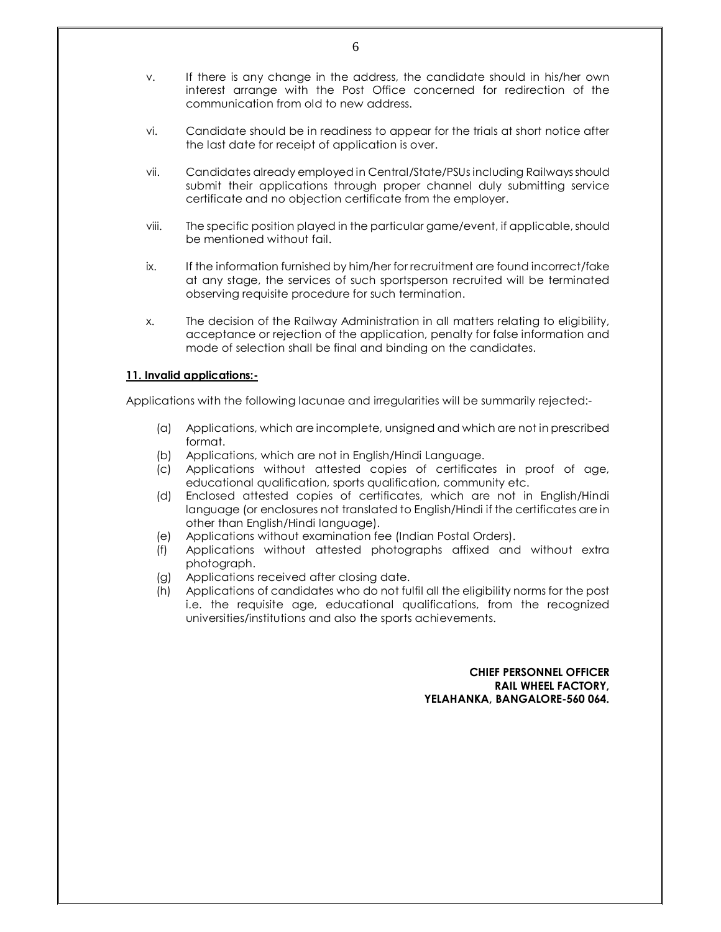- v. If there is any change in the address, the candidate should in his/her own interest arrange with the Post Office concerned for redirection of the communication from old to new address.
- vi. Candidate should be in readiness to appear for the trials at short notice after the last date for receipt of application is over.
- vii. Candidates already employed in Central/State/PSUs including Railways should submit their applications through proper channel duly submitting service certificate and no objection certificate from the employer.
- viii. The specific position played in the particular game/event, if applicable, should be mentioned without fail.
- ix. If the information furnished by him/her for recruitment are found incorrect/fake at any stage, the services of such sportsperson recruited will be terminated observing requisite procedure for such termination.
- x. The decision of the Railway Administration in all matters relating to eligibility, acceptance or rejection of the application, penalty for false information and mode of selection shall be final and binding on the candidates.

#### **11. Invalid applications:-**

Applications with the following lacunae and irregularities will be summarily rejected:-

- (a) Applications, which are incomplete, unsigned and which are not in prescribed format.
- (b) Applications, which are not in English/Hindi Language.
- (c) Applications without attested copies of certificates in proof of age, educational qualification, sports qualification, community etc.
- (d) Enclosed attested copies of certificates, which are not in English/Hindi language (or enclosures not translated to English/Hindi if the certificates are in other than English/Hindi language).
- (e) Applications without examination fee (Indian Postal Orders).
- (f) Applications without attested photographs affixed and without extra photograph.
- (g) Applications received after closing date.
- (h) Applications of candidates who do not fulfil all the eligibility norms for the post i.e. the requisite age, educational qualifications, from the recognized universities/institutions and also the sports achievements.

#### **CHIEF PERSONNEL OFFICER RAIL WHEEL FACTORY, YELAHANKA, BANGALORE-560 064.**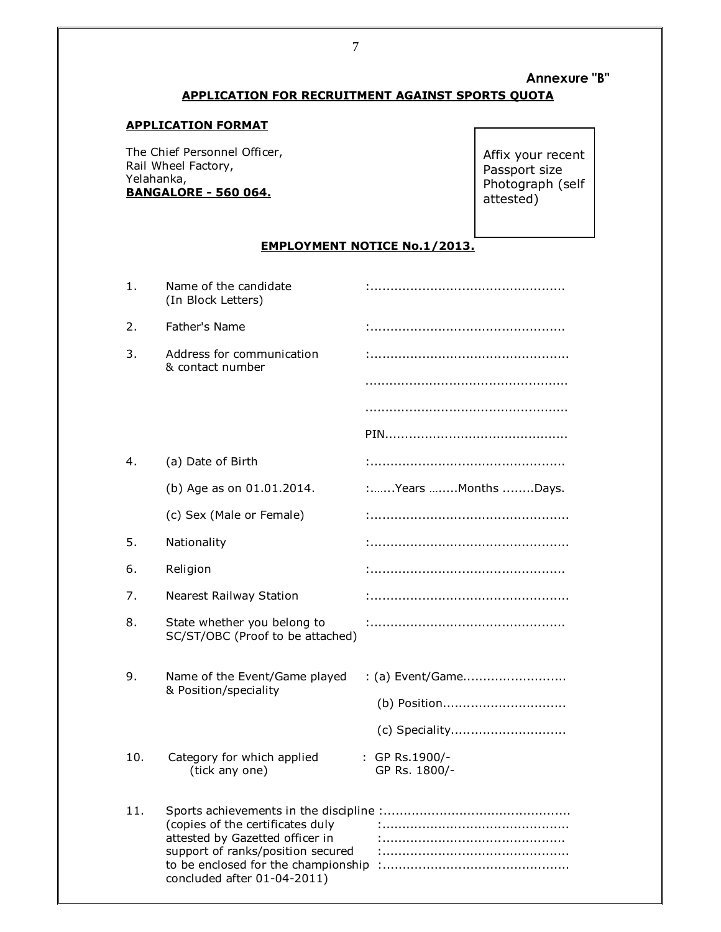# **Annexure "B" APPLICATION FOR RECRUITMENT AGAINST SPORTS QUOTA**

#### **APPLICATION FORMAT**

The Chief Personnel Officer, Rail Wheel Factory, Yelahanka, **BANGALORE - 560 064.** 

Affix your recent Passport size Photograph (self attested)

# **EMPLOYMENT NOTICE No.1/2013.**

| 1.  | Name of the candidate<br>(In Block Letters)                                                                                                                                    |                                 |
|-----|--------------------------------------------------------------------------------------------------------------------------------------------------------------------------------|---------------------------------|
| 2.  | Father's Name                                                                                                                                                                  |                                 |
| 3.  | Address for communication<br>& contact number                                                                                                                                  |                                 |
|     |                                                                                                                                                                                |                                 |
|     |                                                                                                                                                                                |                                 |
|     |                                                                                                                                                                                |                                 |
| 4.  | (a) Date of Birth                                                                                                                                                              |                                 |
|     | (b) Age as on 01.01.2014.                                                                                                                                                      | :Years Months Days.             |
|     | (c) Sex (Male or Female)                                                                                                                                                       |                                 |
| 5.  | Nationality                                                                                                                                                                    |                                 |
| 6.  | Religion                                                                                                                                                                       |                                 |
| 7.  | <b>Nearest Railway Station</b>                                                                                                                                                 |                                 |
| 8.  | State whether you belong to<br>SC/ST/OBC (Proof to be attached)                                                                                                                |                                 |
| 9.  | Name of the Event/Game played                                                                                                                                                  | : (a) Event/Game                |
|     | & Position/speciality                                                                                                                                                          | (b) Position                    |
|     |                                                                                                                                                                                |                                 |
| 10. | Category for which applied<br>(tick any one)                                                                                                                                   | : GP Rs.1900/-<br>GP Rs. 1800/- |
| 11. | (copies of the certificates duly<br>attested by Gazetted officer in<br>support of ranks/position secured<br>to be enclosed for the championship<br>concluded after 01-04-2011) |                                 |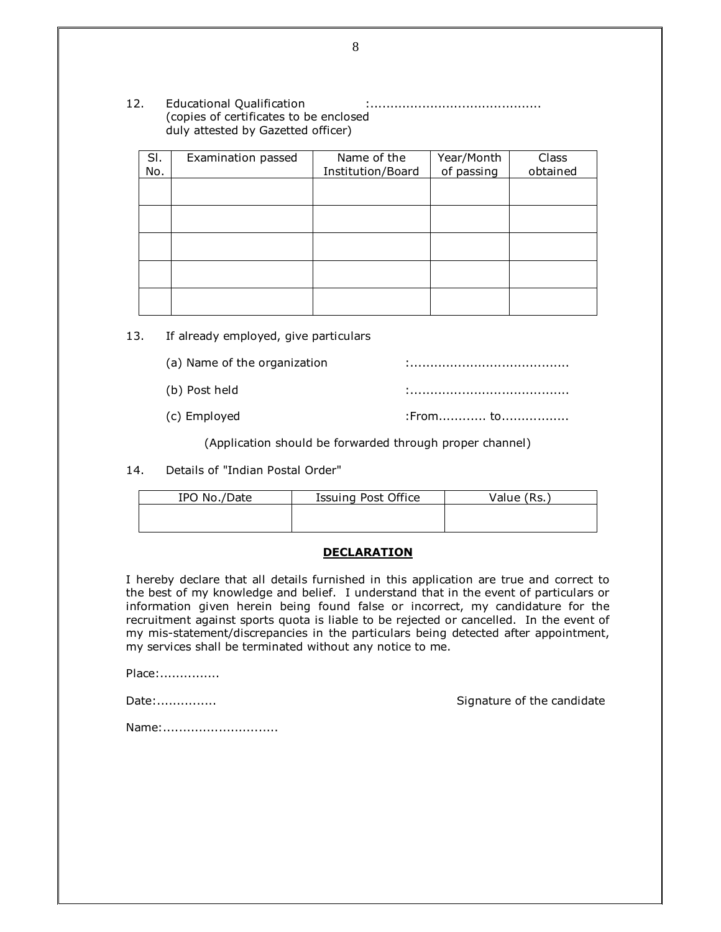12. Educational Qualification :........................................... (copies of certificates to be enclosed duly attested by Gazetted officer)

| SI.<br>No. | Examination passed | Name of the<br>Institution/Board | Year/Month<br>of passing | Class<br>obtained |
|------------|--------------------|----------------------------------|--------------------------|-------------------|
|            |                    |                                  |                          |                   |
|            |                    |                                  |                          |                   |
|            |                    |                                  |                          |                   |
|            |                    |                                  |                          |                   |
|            |                    |                                  |                          |                   |
|            |                    |                                  |                          |                   |

13. If already employed, give particulars

(a) Name of the organization in the influence in the set of the organization

(b) Post held  $\vdots$ 

 $(c)$  Employed  $\qquad \qquad \text{From} \qquad \qquad \text{to} \qquad \text{.}$ 

(Application should be forwarded through proper channel)

14. Details of "Indian Postal Order"

| IPO No./Date | Issuing Post Office | Value (Rs. ) |
|--------------|---------------------|--------------|
|              |                     |              |
|              |                     |              |

#### **DECLARATION**

I hereby declare that all details furnished in this application are true and correct to the best of my knowledge and belief. I understand that in the event of particulars or information given herein being found false or incorrect, my candidature for the recruitment against sports quota is liable to be rejected or cancelled. In the event of my mis-statement/discrepancies in the particulars being detected after appointment, my services shall be terminated without any notice to me.

Place:...............

Date:............... Signature of the candidate

Name:..............................